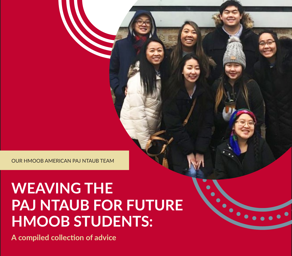OUR HMOOB AMERICAN PAJ NTAUB TEAM

## **WEAVING THE PAJ NTAUB FOR FUTURE HMOOB STUDENTS:**

 $\bullet$ 

**A compiled collection of advice**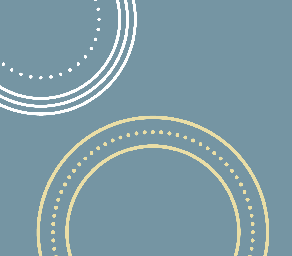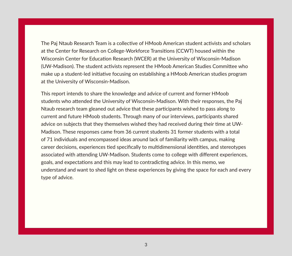The Paj Ntaub Research Team is a collective of HMoob American student activists and scholars at the Center for Research on College-Workforce Transitions (CCWT) housed within the Wisconsin Center for Education Research (WCER) at the University of Wisconsin-Madison (UW-Madison). The student activists represent the HMoob American Studies Committee who make up a student-led initiative focusing on establishing a HMoob American studies program at the University of Wisconsin-Madison.

This report intends to share the knowledge and advice of current and former HMoob students who attended the University of Wisconsin-Madison. With their responses, the Paj Ntaub research team gleaned out advice that these participants wished to pass along to current and future HMoob students. Through many of our interviews, participants shared advice on subjects that they themselves wished they had received during their time at UW-Madison. These responses came from 36 current students 31 former students with a total of 71 individuals and encompassed ideas around lack of familiarity with campus, making career decisions, experiences tied specifically to multidimensional identities, and stereotypes associated with attending UW-Madison. Students come to college with different experiences, goals, and expectations and this may lead to contradicting advice. In this memo, we understand and want to shed light on these experiences by giving the space for each and every type of advice.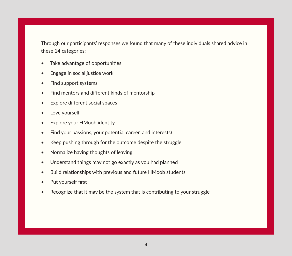Through our participants' responses we found that many of these individuals shared advice in these 14 categories:

- Take advantage of opportunities
- Engage in social justice work
- Find support systems
- Find mentors and different kinds of mentorship
- Explore different social spaces
- Love yourself
- Explore your HMoob identity
- Find your passions, your potential career, and interests)
- Keep pushing through for the outcome despite the struggle
- Normalize having thoughts of leaving
- Understand things may not go exactly as you had planned
- Build relationships with previous and future HMoob students
- Put yourself first
- Recognize that it may be the system that is contributing to your struggle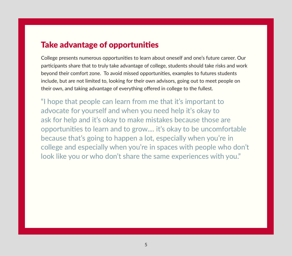## Take advantage of opportunities

College presents numerous opportunities to learn about oneself and one's future career. Our participants share that to truly take advantage of college, students should take risks and work beyond their comfort zone. To avoid missed opportunities, examples to futures students include, but are not limited to, looking for their own advisors, going out to meet people on their own, and taking advantage of everything offered in college to the fullest.

"I hope that people can learn from me that it's important to advocate for yourself and when you need help it's okay to ask for help and it's okay to make mistakes because those are opportunities to learn and to grow.... it's okay to be uncomfortable because that's going to happen a lot, especially when you're in college and especially when you're in spaces with people who don't look like you or who don't share the same experiences with you."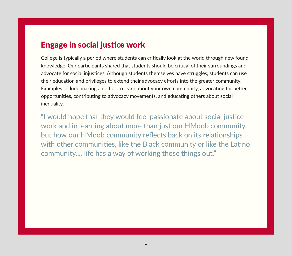## Engage in social justice work

College is typically a period where students can critically look at the world through new found knowledge. Our participants shared that students should be critical of their surroundings and advocate for social injustices. Although students themselves have struggles, students can use their education and privileges to extend their advocacy efforts into the greater community. Examples include making an effort to learn about your own community, advocating for better opportunities, contributing to advocacy movements, and educating others about social inequality.

"I would hope that they would feel passionate about social justice work and in learning about more than just our HMoob community, but how our HMoob community reflects back on its relationships with other communities, like the Black community or like the Latino community.... life has a way of working those things out."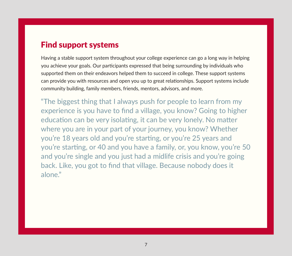## Find support systems

Having a stable support system throughout your college experience can go a long way in helping you achieve your goals. Our participants expressed that being surrounding by individuals who supported them on their endeavors helped them to succeed in college. These support systems can provide you with resources and open you up to great relationships. Support systems include community building, family members, friends, mentors, advisors, and more.

"The biggest thing that I always push for people to learn from my experience is you have to find a village, you know? Going to higher education can be very isolating, it can be very lonely. No matter where you are in your part of your journey, you know? Whether you're 18 years old and you're starting, or you're 25 years and you're starting, or 40 and you have a family, or, you know, you're 50 and you're single and you just had a midlife crisis and you're going back. Like, you got to find that village. Because nobody does it alone."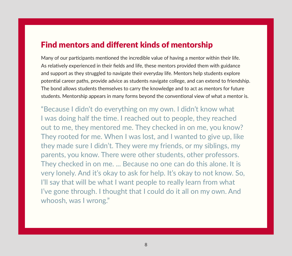## Find mentors and different kinds of mentorship

Many of our participants mentioned the incredible value of having a mentor within their life. As relatively experienced in their fields and life, these mentors provided them with guidance and support as they struggled to navigate their everyday life. Mentors help students explore potential career paths, provide advice as students navigate college, and can extend to friendship. The bond allows students themselves to carry the knowledge and to act as mentors for future students. Mentorship appears in many forms beyond the conventional view of what a mentor is.

"Because I didn't do everything on my own. I didn't know what I was doing half the time. I reached out to people, they reached out to me, they mentored me. They checked in on me, you know? They rooted for me. When I was lost, and I wanted to give up, like they made sure I didn't. They were my friends, or my siblings, my parents, you know. There were other students, other professors. They checked in on me. ... Because no one can do this alone. It is very lonely. And it's okay to ask for help. It's okay to not know. So, I'll say that will be what I want people to really learn from what I've gone through. I thought that I could do it all on my own. And whoosh, was I wrong."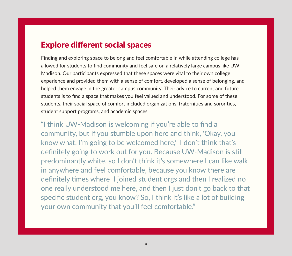## Explore different social spaces

Finding and exploring space to belong and feel comfortable in while attending college has allowed for students to find community and feel safe on a relatively large campus like UW-Madison. Our participants expressed that these spaces were vital to their own college experience and provided them with a sense of comfort, developed a sense of belonging, and helped them engage in the greater campus community. Their advice to current and future students is to find a space that makes you feel valued and understood. For some of these students, their social space of comfort included organizations, fraternities and sororities, student support programs, and academic spaces.

"I think UW-Madison is welcoming if you're able to find a community, but if you stumble upon here and think, 'Okay, you know what, I'm going to be welcomed here,' I don't think that's definitely going to work out for you. Because UW-Madison is still predominantly white, so I don't think it's somewhere I can like walk in anywhere and feel comfortable, because you know there are definitely times where I joined student orgs and then I realized no one really understood me here, and then I just don't go back to that specific student org, you know? So, I think it's like a lot of building your own community that you'll feel comfortable."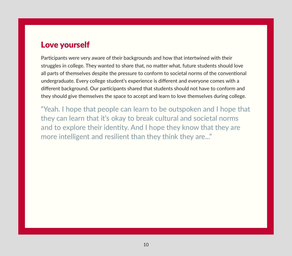## Love yourself

Participants were very aware of their backgrounds and how that intertwined with their struggles in college. They wanted to share that, no matter what, future students should love all parts of themselves despite the pressure to conform to societal norms of the conventional undergraduate. Every college student's experience is different and everyone comes with a different background. Our participants shared that students should not have to conform and they should give themselves the space to accept and learn to love themselves during college.

"Yeah. I hope that people can learn to be outspoken and I hope that they can learn that it's okay to break cultural and societal norms and to explore their identity. And I hope they know that they are more intelligent and resilient than they think they are..."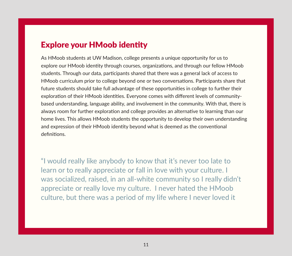## Explore your HMoob identity

As HMoob students at UW Madison, college presents a unique opportunity for us to explore our HMoob identity through courses, organizations, and through our fellow HMoob students. Through our data, participants shared that there was a general lack of access to HMoob curriculum prior to college beyond one or two conversations. Participants share that future students should take full advantage of these opportunities in college to further their exploration of their HMoob identities. Everyone comes with different levels of communitybased understanding, language ability, and involvement in the community. With that, there is always room for further exploration and college provides an alternative to learning than our home lives. This allows HMoob students the opportunity to develop their own understanding and expression of their HMoob identity beyond what is deemed as the conventional definitions.

"I would really like anybody to know that it's never too late to learn or to really appreciate or fall in love with your culture. I was socialized, raised, in an all-white community so I really didn't appreciate or really love my culture. I never hated the HMoob culture, but there was a period of my life where I never loved it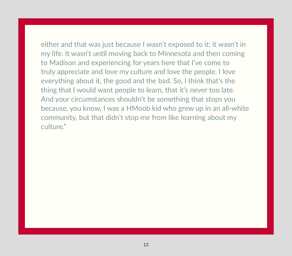either and that was just because I wasn't exposed to it; it wasn't in my life. It wasn't until moving back to Minnesota and then coming to Madison and experiencing for years here that I've come to truly appreciate and love my culture and love the people. I love everything about it, the good and the bad. So, I think that's the thing that I would want people to learn, that it's never too late. And your circumstances shouldn't be something that stops you because, you know, I was a HMoob kid who grew up in an all-white community, but that didn't stop me from like learning about my culture."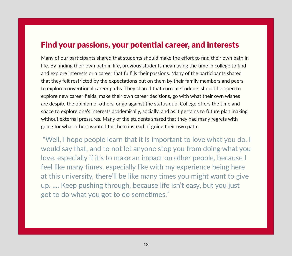## Find your passions, your potential career, and interests

Many of our participants shared that students should make the effort to find their own path in life. By finding their own path in life, previous students mean using the time in college to find and explore interests or a career that fulfills their passions. Many of the participants shared that they felt restricted by the expectations put on them by their family members and peers to explore conventional career paths. They shared that current students should be open to explore new career fields, make their own career decisions, go with what their own wishes are despite the opinion of others, or go against the status quo. College offers the time and space to explore one's interests academically, socially, and as it pertains to future plan making without external pressures. Many of the students shared that they had many regrets with going for what others wanted for them instead of going their own path.

 "Well, I hope people learn that it is important to love what you do. I would say that, and to not let anyone stop you from doing what you love, especially if it's to make an impact on other people, because I feel like many times, especially like with my experience being here at this university, there'll be like many times you might want to give up. .... Keep pushing through, because life isn't easy, but you just got to do what you got to do sometimes."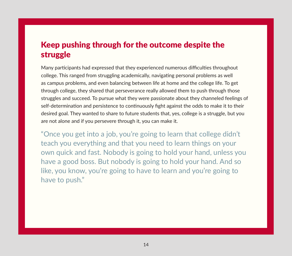## Keep pushing through for the outcome despite the struggle

Many participants had expressed that they experienced numerous difficulties throughout college. This ranged from struggling academically, navigating personal problems as well as campus problems, and even balancing between life at home and the college life. To get through college, they shared that perseverance really allowed them to push through those struggles and succeed. To pursue what they were passionate about they channeled feelings of self-determination and persistence to continuously fight against the odds to make it to their desired goal. They wanted to share to future students that, yes, college is a struggle, but you are not alone and if you persevere through it, you can make it.

"Once you get into a job, you're going to learn that college didn't teach you everything and that you need to learn things on your own quick and fast. Nobody is going to hold your hand, unless you have a good boss. But nobody is going to hold your hand. And so like, you know, you're going to have to learn and you're going to have to push."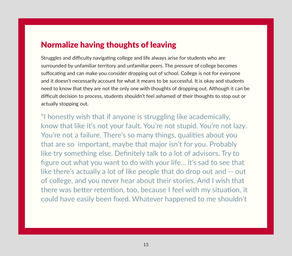## Normalize having thoughts of leaving

Struggles and difficulty navigating college and life always arise for students who are surrounded by unfamiliar territory and unfamiliar peers. The pressure of college becomes suffocating and can make you consider dropping out of school. College is not for everyone and it doesn't necessarily account for what it means to be successful. It is okay and students need to know that they are not the only one with thoughts of dropping out. Although it can be difficult decision to process, students shouldn't feel ashamed of their thoughts to stop out or actually stopping out.

"I honestly wish that if anyone is struggling like academically, know that like it's not your fault. You're not stupid. You're not lazy. You're not a failure. There's so many things, qualities about you that are so important, maybe that major isn't for you. Probably like try something else. Definitely talk to a lot of advisors. Try to figure out what you want to do with your life... it's sad to see that like there's actually a lot of like people that do drop out and -- out of college, and you never hear about their stories. And I wish that there was better retention, too, because I feel with my situation, it could have easily been fixed. Whatever happened to me shouldn't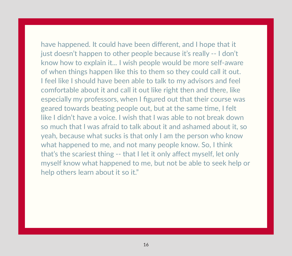have happened. It could have been different, and I hope that it just doesn't happen to other people because it's really -- I don't know how to explain it... I wish people would be more self-aware of when things happen like this to them so they could call it out. I feel like I should have been able to talk to my advisors and feel comfortable about it and call it out like right then and there, like especially my professors, when I figured out that their course was geared towards beating people out, but at the same time, I felt like I didn't have a voice. I wish that I was able to not break down so much that I was afraid to talk about it and ashamed about it, so yeah, because what sucks is that only I am the person who know what happened to me, and not many people know. So, I think that's the scariest thing -- that I let it only affect myself, let only myself know what happened to me, but not be able to seek help or help others learn about it so it."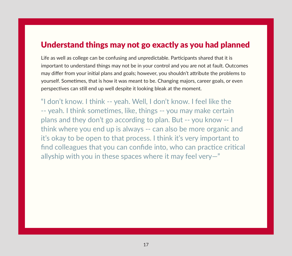## Understand things may not go exactly as you had planned

Life as well as college can be confusing and unpredictable. Participants shared that it is important to understand things may not be in your control and you are not at fault. Outcomes may differ from your initial plans and goals; however, you shouldn't attribute the problems to yourself. Sometimes, that is how it was meant to be. Changing majors, career goals, or even perspectives can still end up well despite it looking bleak at the moment.

"I don't know. I think -- yeah. Well, I don't know. I feel like the -- yeah. I think sometimes, like, things -- you may make certain plans and they don't go according to plan. But -- you know -- I think where you end up is always -- can also be more organic and it's okay to be open to that process. I think it's very important to find colleagues that you can confide into, who can practice critical allyship with you in these spaces where it may feel very—"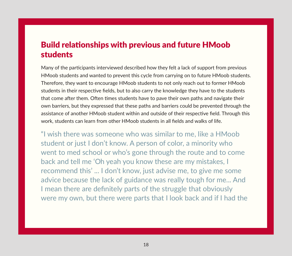## Build relationships with previous and future HMoob students

Many of the participants interviewed described how they felt a lack of support from previous HMoob students and wanted to prevent this cycle from carrying on to future HMoob students. Therefore, they want to encourage HMoob students to not only reach out to former HMoob students in their respective fields, but to also carry the knowledge they have to the students that come after them. Often times students have to pave their own paths and navigate their own barriers, but they expressed that these paths and barriers could be prevented through the assistance of another HMoob student within and outside of their respective field. Through this work, students can learn from other HMoob students in all fields and walks of life.

"I wish there was someone who was similar to me, like a HMoob student or just I don't know. A person of color, a minority who went to med school or who's gone through the route and to come back and tell me 'Oh yeah you know these are my mistakes, I recommend this' ... I don't know, just advise me, to give me some advice because the lack of guidance was really tough for me... And I mean there are definitely parts of the struggle that obviously were my own, but there were parts that I look back and if I had the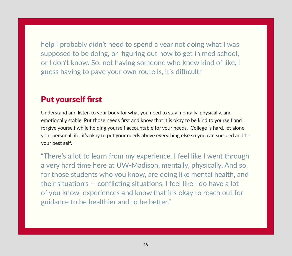help I probably didn't need to spend a year not doing what I was supposed to be doing, or figuring out how to get in med school, or I don't know. So, not having someone who knew kind of like, I guess having to pave your own route is, it's difficult."

## Put yourself first

Understand and listen to your body for what you need to stay mentally, physically, and emotionally stable. Put those needs first and know that it is okay to be kind to yourself and forgive yourself while holding yourself accountable for your needs. College is hard, let alone your personal life, it's okay to put your needs above everything else so you can succeed and be your best self.

"There's a lot to learn from my experience. I feel like I went through a very hard time here at UW-Madison, mentally, physically. And so, for those students who you know, are doing like mental health, and their situation's -- conflicting situations, I feel like I do have a lot of you know, experiences and know that it's okay to reach out for guidance to be healthier and to be better."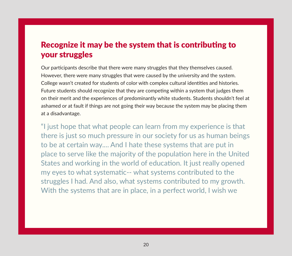## Recognize it may be the system that is contributing to your struggles

Our participants describe that there were many struggles that they themselves caused. However, there were many struggles that were caused by the university and the system. College wasn't created for students of color with complex cultural identities and histories. Future students should recognize that they are competing within a system that judges them on their merit and the experiences of predominantly white students. Students shouldn't feel at ashamed or at fault if things are not going their way because the system may be placing them at a disadvantage.

"I just hope that what people can learn from my experience is that there is just so much pressure in our society for us as human beings to be at certain way.... And I hate these systems that are put in place to serve like the majority of the population here in the United States and working in the world of education. It just really opened my eyes to what systematic-- what systems contributed to the struggles I had. And also, what systems contributed to my growth. With the systems that are in place, in a perfect world, I wish we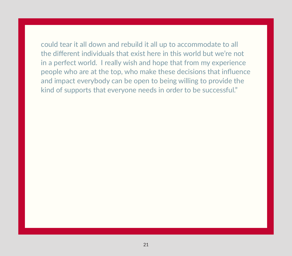could tear it all down and rebuild it all up to accommodate to all the different individuals that exist here in this world but we're not in a perfect world. I really wish and hope that from my experience people who are at the top, who make these decisions that influence and impact everybody can be open to being willing to provide the kind of supports that everyone needs in order to be successful."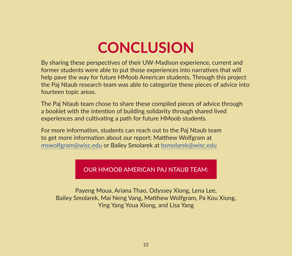# **CONCLUSION**

By sharing these perspectives of their UW-Madison experience, current and former students were able to put those experiences into narratives that will help pave the way for future HMoob American students. Through this project the Paj Ntaub research team was able to categorize these pieces of advice into fourteen topic areas.

The Paj Ntaub team chose to share these compiled pieces of advice through a booklet with the intention of building solidarity through shared lived experiences and cultivating a path for future HMoob students.

For more information, students can reach out to the Paj Ntaub team to get more information about our report: Matthew Wolfgram at [mswolfgram@wisc.edu](mailto:mswolfgram@wisc.edu) or Bailey Smolarek at [bsmolarek@wisc.edu](mailto:bsmolarek@wisc.edu)

#### OUR HMOOB AMERICAN PAJ NTAUB TEAM:

Payeng Moua, Ariana Thao, Odyssey Xiong, Lena Lee, Bailey Smolarek, Mai Neng Vang, Matthew Wolfgram, Pa Kou Xiong, Ying Yang Youa Xiong, and Lisa Yang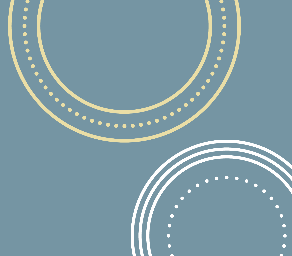